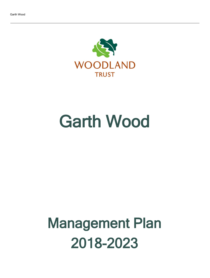

# Garth Wood

## Management Plan 2018-2023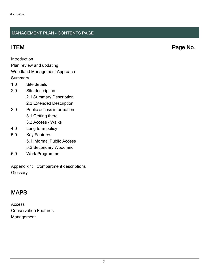### MANAGEMENT PLAN - CONTENTS PAGE

ITEM Page No.

Introduction

Plan review and updating

#### Woodland Management Approach

**Summary** 

- 1.0 Site details
- 2.0 Site description
	- 2.1 Summary Description
	- 2.2 Extended Description
- 3.0 Public access information
	- 3.1 Getting there
	- 3.2 Access / Walks
- 4.0 Long term policy
- 5.0 Key Features
	- 5.1 Informal Public Access
	- 5.2 Secondary Woodland
- 6.0 Work Programme

Appendix 1: Compartment descriptions **Glossary** 

## MAPS

Access Conservation Features Management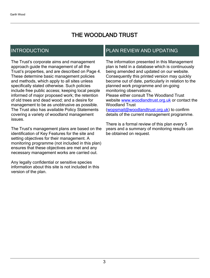## THE WOODLAND TRUST

## INTRODUCTION

The Trust's corporate aims and management approach guide the management of all the Trust's properties, and are described on Page 4. These determine basic management policies and methods, which apply to all sites unless specifically stated otherwise. Such policies include free public access; keeping local people informed of major proposed work; the retention of old trees and dead wood; and a desire for management to be as unobtrusive as possible. The Trust also has available Policy Statements covering a variety of woodland management issues.

The Trust's management plans are based on the identification of Key Features for the site and setting objectives for their management. A monitoring programme (not included in this plan) ensures that these objectives are met and any necessary management works are carried out.

Any legally confidential or sensitive species information about this site is not included in this version of the plan.

## PLAN REVIEW AND UPDATING

The information presented in this Management plan is held in a database which is continuously being amended and updated on our website. Consequently this printed version may quickly become out of date, particularly in relation to the planned work programme and on-going monitoring observations. Please either consult The Woodland Trust website [www.woodlandtrust.org.uk](http://www.woodlandtrust.org.uk/) or contact the Woodland Trust [\(wopsmail@woodlandtrust.org.uk](mailto:wopsmail@woodlandtrust.org.uk)) to confirm

details of the current management programme.

There is a formal review of this plan every 5 years and a summary of monitoring results can be obtained on request.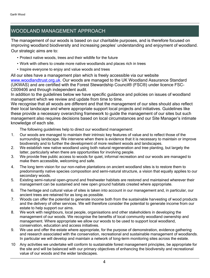## WOODLAND MANAGEMENT APPROACH

The management of our woods is based on our charitable purposes, and is therefore focused on improving woodland biodiversity and increasing peoples' understanding and enjoyment of woodland. Our strategic aims are to:

- Protect native woods, trees and their wildlife for the future
- Work with others to create more native woodlands and places rich in trees
- Inspire everyone to enjoy and value woods and trees

All our sites have a management plan which is freely accessible via our website [www.woodlandtrust.org.uk.](http://www.woodlandtrust.org.uk/) Our woods are managed to the UK Woodland Assurance Standard (UKWAS) and are certified with the Forest Stewardship Council® (FSC®) under licence FSC-C009406 and through independent audit.

In addition to the guidelines below we have specific guidance and policies on issues of woodland management which we review and update from time to time.

We recognise that all woods are different and that the management of our sites should also reflect their local landscape and where appropriate support local projects and initiatives. Guidelines like these provide a necessary overarching framework to guide the management of our sites but such management also requires decisions based on local circumstances and our Site Manager's intimate knowledge of each site.

The following guidelines help to direct our woodland management:

- 1. Our woods are managed to maintain their intrinsic key features of value and to reflect those of the surrounding landscape. We intervene when there is evidence that it is necessary to maintain or improve biodiversity and to further the development of more resilient woods and landscapes.
- 2. We establish new native woodland using both natural regeneration and tree planting, but largely the latter, particularly when there are opportunities for involving people.
- 3. We provide free public access to woods for quiet, informal recreation and our woods are managed to make them accessible, welcoming and safe.
- 4. The long term vision for our non-native plantations on ancient woodland sites is to restore them to predominantly native species composition and semi-natural structure, a vision that equally applies to our secondary woods.
- 5. Existing semi-natural open-ground and freshwater habitats are restored and maintained wherever their management can be sustained and new open ground habitats created where appropriate.
- 6. The heritage and cultural value of sites is taken into account in our management and, in particular, our ancient trees are retained for as long as possible.
- 7. Woods can offer the potential to generate income both from the sustainable harvesting of wood products and the delivery of other services. We will therefore consider the potential to generate income from our estate to help support our aims.
- 8. We work with neighbours, local people, organisations and other stakeholders in developing the management of our woods. We recognise the benefits of local community woodland ownership and management. Where appropriate we allow our woods to be used to support local woodland, conservation, education and access initiatives.
- 9. We use and offer the estate where appropriate, for the purpose of demonstration, evidence gathering and research associated with the conservation, recreational and sustainable management of woodlands. In particular we will develop and maintain a network of long-term monitoring sites across the estate.
- 10 Any activities we undertake will conform to sustainable forest management principles, be appropriate for the site and will be balanced with our primary objectives of enhancing the biodiversity and recreational value of our woods and the wider landscapes.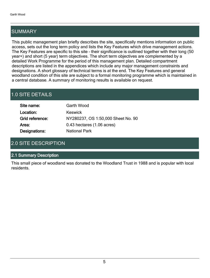## SUMMARY

This public management plan briefly describes the site, specifically mentions information on public access, sets out the long term policy and lists the Key Features which drive management actions. The Key Features are specific to this site - their significance is outlined together with their long (50 year+) and short (5 year) term objectives. The short term objectives are complemented by a detailed Work Programme for the period of this management plan. Detailed compartment descriptions are listed in the appendices which include any major management constraints and designations. A short glossary of technical terms is at the end. The Key Features and general woodland condition of this site are subject to a formal monitoring programme which is maintained in a central database. A summary of monitoring results is available on request.

## 1.0 SITE DETAILS

| Site name:      | Garth Wood                         |
|-----------------|------------------------------------|
| Location:       | <b>Keswick</b>                     |
| Grid reference: | NY280237, OS 1:50,000 Sheet No. 90 |
| Area:           | 0.43 hectares (1.06 acres)         |
| Designations:   | <b>National Park</b>               |

## 2.0 SITE DESCRIPTION

#### 2.1 Summary Description

This small piece of woodland was donated to the Woodland Trust in 1988 and is popular with local residents.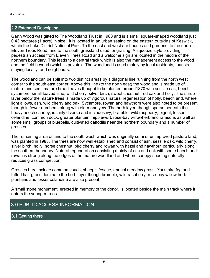#### 2.2 Extended Description

Garth Wood was gifted to The Woodland Trust in 1988 and is a small square-shaped woodland just 0.43 hectares (1 acre) in size. It is located in an urban setting on the eastern outskirts of Keswick, within the Lake District National Park. To the east and west are houses and gardens, to the north Eleven Trees Road, and to the south grassland used for grazing. A squeeze style providing pedestrian access from Eleven Trees Road and a welcome sign are located in the middle of the northern boundary. This leads to a central track which is also the management access to the wood and the field beyond (which is private). The woodland is used mainly by local residents, tourists staying locally, and neighbours.

The woodland can be split into two distinct areas by a diagonal line running from the north west corner to the south east corner. Above this line (to the north east) the woodland is made up of mature and semi mature broadleaves thought to be planted around1870 with sessile oak, beech, sycamore, small leaved lime, wild cherry, silver birch, sweet chestnut, red oak and holly. The shrub layer below the mature trees is made up of vigorous natural regeneration of holly, beech and, where light allows, ash, wild cherry and oak. Sycamore, rowan and hawthorn were also noted to be present though in fewer numbers, along with elder and yew. The herb layer, though sparse beneath the heavy beech canopy, is fairly diverse and includes ivy, bramble, wild raspberry, pignut, lesser celandine, common dock, greater plantain, nipplewort, rose-bay willowherb and ramsons as well as some small groups of bluebells, cultivated daffodils near the northern boundary and a number of grasses.

The remaining area of land to the south west, which was originally semi or unimproved pasture land, was planted in 1988. The trees are now well established and consist of ash, sessile oak, wild cherry, silver birch, holly, horse chestnut, bird cherry and rowan with hazel and hawthorn particularly along the southern boundary. Natural regeneration consisting mainly of ash and oak with some beech and rowan is strong along the edges of the mature woodland and where canopy shading naturally reduces grass competition.

Grasses here include common couch, sheep's fescue, annual meadow grass, Yorkshire fog and tufted hair grass dominate the herb layer though bramble, wild raspberry, rose-bay willow herb, plantains and lesser celandine are also present.

A small stone monument, erected in memory of the donor, is located beside the main track where it enters the younger trees.

### 3.0 PUBLIC ACCESS INFORMATION

#### 3.1 Getting there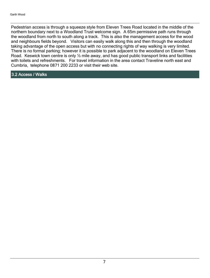Pedestrian access is through a squeeze style from Eleven Trees Road located in the middle of the northern boundary next to a Woodland Trust welcome sign. A 65m permissive path runs through the woodland from north to south along a track. This is also the management access for the wood and neighbours fields beyond. Visitors can easily walk along this and then through the woodland taking advantage of the open access but with no connecting rights of way walking is very limited. There is no formal parking; however it is possible to park adjacent to the woodland on Eleven Trees Road. Keswick town centre is only  $\frac{1}{2}$  mile away, and has good public transport links and facilities with toilets and refreshments. For travel information in the area contact Traveline north east and Cumbria, telephone 0871 200 2233 or visit their web site.

3.2 Access / Walks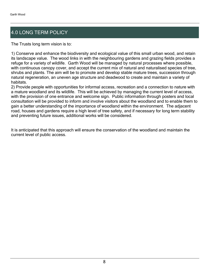## 4.0 LONG TERM POLICY

The Trusts long term vision is to:

1) Conserve and enhance the biodiversity and ecological value of this small urban wood, and retain its landscape value. The wood links in with the neighbouring gardens and grazing fields provides a refuge for a variety of wildlife. Garth Wood will be managed by natural processes where possible, with continuous canopy cover, and accept the current mix of natural and naturalised species of tree, shrubs and plants. The aim will be to promote and develop stable mature trees, succession through natural regeneration, an uneven age structure and deadwood to create and maintain a variety of habitats.

2) Provide people with opportunities for informal access, recreation and a connection to nature with a mature woodland and its wildlife. This will be achieved by managing the current level of access, with the provision of one entrance and welcome sign. Public information through posters and local consultation will be provided to inform and involve visitors about the woodland and to enable them to gain a better understanding of the importance of woodland within the environment. The adjacent road, houses and gardens require a high level of tree safety, and if necessary for long term stability and preventing future issues, additional works will be considered.

It is anticipated that this approach will ensure the conservation of the woodland and maintain the current level of public access.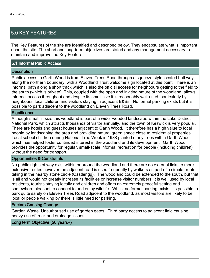## 5.0 KEY FEATURES

The Key Features of the site are identified and described below. They encapsulate what is important about the site. The short and long-term objectives are stated and any management necessary to maintain and improve the Key Feature.

#### 5.1 Informal Public Access

#### **Description**

Public access to Garth Wood is from Eleven Trees Road through a squeeze style located half way along the northern boundary, with a Woodland Trust welcome sign located at this point. There is an informal path along a short track which is also the official access for neighbours getting to the field to the south (which is private). This, coupled with the open and inviting nature of the woodland, allows informal access throughout and despite its small size it is reasonably well-used, particularly by neighbours, local children and visitors staying in adjacent B&Bs. No formal parking exists but it is possible to park adjacent to the woodland on Eleven Trees Road.

#### **Significance**

Although small in size this woodland is part of a wider wooded landscape within the Lake District National Park, which attracts thousands of visitor annually, and the town of Keswick is very popular. There are hotels and guest houses adjacent to Garth Wood. It therefore has a high value to local people by landscaping the area and providing natural green space close to residential properties. Local school children during National Tree Week in 1988 planted many trees within Garth Wood which has helped foster continued interest in the woodland and its development. Garth Wood provides the opportunity for regular, small-scale informal recreation for people (including children) without the need for transport.

#### Opportunities & Constraints

No public rights of way exist within or around the woodland and there are no external links to more extensive routes however the adjacent road is used frequently by walkers as part of a circular route taking in the nearby stone circle (Castlerigg). The woodland could be extended to the south, but that is all and would not greatly increase its facilities or increase visitor numbers; it is well used by local residents, tourists staying locally and children and offers an extremely peaceful setting and somewhere pleasant to connect to and enjoy wildlife. Whilst no formal parking exists it is possible to park quite safely on Eleven Trees Road adjacent to the woodland, as most visitors are likely to be local or people walking by there is little need for parking.

#### Factors Causing Change

Garden Waste. Unauthorised use of garden gates. Third party access to adjacent field causing heavy use of track and drainage issues.

#### Long term Objective (50 years+)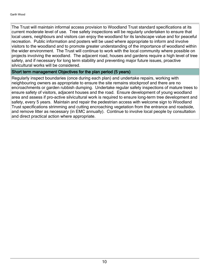The Trust will maintain informal access provision to Woodland Trust standard specifications at its current moderate level of use. Tree safety inspections will be regularly undertaken to ensure that local users, neighbours and visitors can enjoy the woodland for its landscape value and for peaceful recreation. Public information and posters will be used where appropriate to inform and involve visitors to the woodland and to promote greater understanding of the importance of woodland within the wider environment. The Trust will continue to work with the local community where possible on projects involving the woodland. The adjacent road, houses and gardens require a high level of tree safety, and if necessary for long term stability and preventing major future issues, proactive silvicultural works will be considered.

#### Short term management Objectives for the plan period (5 years)

Regularly inspect boundaries (once during each plan) and undertake repairs, working with neighbouring owners as appropriate to ensure the site remains stockproof and there are no encroachments or garden rubbish dumping. Undertake regular safety inspections of mature trees to ensure safety of visitors, adjacent houses and the road. Ensure development of young woodland area and assess if pro-active silvicultural work is required to ensure long-term tree development and safety, every 5 years. Maintain and repair the pedestrian access with welcome sign to Woodland Trust specifications strimming and cutting encroaching vegetation from the entrance and roadside, and remove litter as necessary (in EMC annually). Continue to involve local people by consultation and direct practical action where appropriate.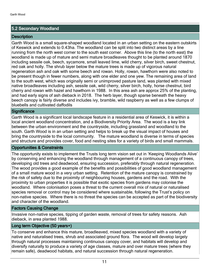#### 5.2 Secondary Woodland

#### **Description**

Garth Wood is a small square-shaped woodland located in an urban setting on the eastern outskirts of Keswick and extends to 0.43ha. The woodland can be split into two distinct areas by a line running from the north west corner to the south east corner. Above this line (to the north east) the woodland is made up of mature and semi mature broadleaves thought to be planted around 1870 including sessile oak, beech, sycamore, small leaved lime, wild cherry, silver birch, sweet chestnut, red oak and holly. The shrub layer below the mature trees is made up of vigorous natural regeneration ash and oak with some beech and rowan. Holly, rowan, hawthorn were also noted to be present though in fewer numbers, along with one elder and one yew. The remaining area of land to the south west, which was originally semi or unimproved pasture land, was planted with mixed native broadleaves including ash, sessile oak, wild cherry, silver birch, holly, horse chestnut, bird cherry and rowan with hazel and hawthorn in 1988. In this area ash are approx 25% of the planting, and had early signs of ash dieback in 2018. The herb layer, though sparse beneath the heavy beech canopy is fairly diverse and includes ivy, bramble, wild raspberry as well as a few clumps of bluebells and cultivated daffodils

#### **Significance**

Garth Wood is a significant local landscape feature in a residential area of Keswick, it is within a local ancient woodland concentration, and a Biodiversity Priority Area. The wood is a key link between the urban environment and the countryside, including grassland and woodland to the south. Garth Wood is in an urban setting and helps to break up the visual impact of houses and bring the countryside to the local community. The mature woodland is diverse in terms of species and structure and provides cover, food and nesting sites for a variety of birds and small mammals.

#### Opportunities & Constraints

The opportunity exists to implement the Trusts long term vision set out in 'Keeping Woodlands Alive' by conserving and enhancing the woodland through management of a continuous canopy of trees, developing old trees and deadwood, ensuring succession, preferably through natural regeneration. The wood provides a good example of the benefits and possibilities of good woodland management of a small mature wood in a very urban setting. Retention of the mature canopy is constrained by the risk of safety due to the proximity of neighbouring houses, gardens and the road. With the proximity to urban properties it is possible that exotic species from gardens may colonise the woodland. Where colonisation poses a threat to the current overall mix of natural or naturalised species removal or control may be considered where sustainable, following the Trust's policy on non-native species. Where there is no threat the species can be accepted as part of the biodiversity and character of the woodland.

#### Factors Causing Change

Invasive non-native species, tipping of garden waste, removal of trees for safety reasons. Ash dieback, in area planted 1988.

#### Long term Objective (50 years+)

To conserve and enhance this mature, broadleaved, mixed species woodland with a variety of native and naturalised trees, shrub and associated ground flora. The wood will develop largely through natural processes maintaining continuous canopy cover, and habitats will develop and diversify naturally to produce a variety of age classes, mature and over mature trees (where they remain safe), deadwood habitats, and natural succession through natural regeneration.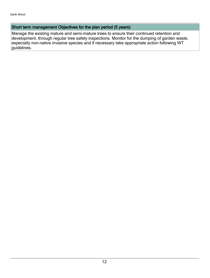#### Short term management Objectives for the plan period (5 years)

Manage the existing mature and semi-mature trees to ensure their continued retention and development, through regular tree safety inspections. Monitor for the dumping of garden waste, especially non-native invasive species and if necessary take appropriate action following WT guidelines.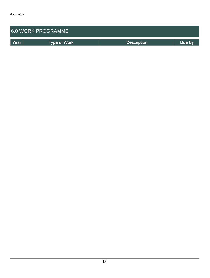| <b>6.0 WORK PROGRAMME</b> |                     |                    |        |  |  |  |  |  |
|---------------------------|---------------------|--------------------|--------|--|--|--|--|--|
| Year                      | <b>Type of Work</b> | <b>Description</b> | Due By |  |  |  |  |  |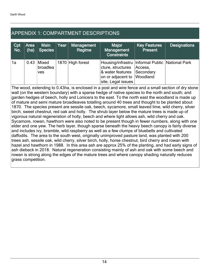## APPENDIX 1: COMPARTMENT DESCRIPTIONS

| Cpt<br>No. | Area $ $<br>(ha) | Main<br>Species                        | Year | <b>Management</b><br>Regime | <b>Major</b><br>Management<br><b>Constraints</b>                                                                                                                     | <b>Key Features</b><br><b>Present</b> | <b>Designations</b> |
|------------|------------------|----------------------------------------|------|-----------------------------|----------------------------------------------------------------------------------------------------------------------------------------------------------------------|---------------------------------------|---------------------|
| 1a         |                  | $0.43$ Mixed<br>broadlea<br><b>ves</b> |      | 1870 High forest            | Housing/infrastru   Informal Public   National Park<br>cture, structures   Access,<br>& water features Secondary<br>on or adjacent to Woodland<br>site, Legal issues |                                       |                     |

The wood, extending to 0.43ha, is enclosed in a post and wire fence and a small section of dry stone wall (on the western boundary) with a sparse hedge of native species to the north and south; and garden hedges of beech, holly and Lonicera to the east. To the north east the woodland is made up of mature and semi mature broadleaves totalling around 40 trees and thought to be planted about 1870. The species present are sessile oak, beech, sycamore, small leaved lime, wild cherry, silver birch, sweet chestnut, red oak and holly. The shrub layer below the mature trees is made up of vigorous natural regeneration of holly, beech and where light allows ash, wild cherry and oak. Sycamore, rowan, hawthorn were also noted to be present though in fewer numbers, along with one elder and one yew. The herb layer, though sparse beneath the heavy beech canopy is fairly diverse and includes ivy, bramble, wild raspberry as well as a few clumps of bluebells and cultivated daffodils. The area to the south west, originally unimproved pasture land, was planted with 200 trees ash, sessile oak, wild cherry, silver birch, holly, horse chestnut, bird cherry and rowan with hazel and hawthorn in 1988. In this area ash are approx 25% of the planting, and had early signs of ash dieback in 2018. Natural regeneration consisting mainly of ash and oak with some beech and rowan is strong along the edges of the mature trees and where canopy shading naturally reduces grass competition.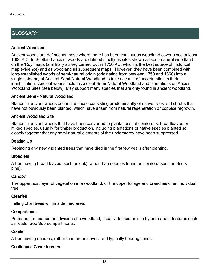## **GLOSSARY**

#### Ancient Woodland

Ancient woods are defined as those where there has been continuous woodland cover since at least 1600 AD. In Scotland ancient woods are defined strictly as sites shown as semi-natural woodland on the 'Roy' maps (a military survey carried out in 1750 AD, which is the best source of historical map evidence) and as woodland all subsequent maps. However, they have been combined with long-established woods of semi-natural origin (originating from between 1750 and 1860) into a single category of Ancient Semi-Natural Woodland to take account of uncertainties in their identification. Ancient woods include Ancient Semi-Natural Woodland and plantations on Ancient Woodland Sites (see below). May support many species that are only found in ancient woodland.

#### Ancient Semi - Natural Woodland

Stands in ancient woods defined as those consisting predominantly of native trees and shrubs that have not obviously been planted, which have arisen from natural regeneration or coppice regrowth.

#### Ancient Woodland Site

Stands in ancient woods that have been converted to plantations, of coniferous, broadleaved or mixed species, usually for timber production, including plantations of native species planted so closely together that any semi-natural elements of the understorey have been suppressed.

#### Beating Up

Replacing any newly planted trees that have died in the first few years after planting.

#### **Broadleaf**

A tree having broad leaves (such as oak) rather than needles found on conifers (such as Scots pine).

#### **Canopy**

The uppermost layer of vegetation in a woodland, or the upper foliage and branches of an individual tree.

#### Clearfell

Felling of all trees within a defined area.

#### **Compartment**

Permanent management division of a woodland, usually defined on site by permanent features such as roads. See Sub-compartments.

#### **Conifer**

A tree having needles, rather than broadleaves, and typically bearing cones.

### Continuous Cover forestry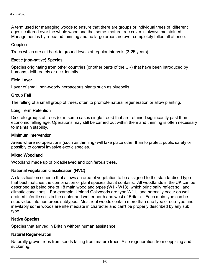A term used for managing woods to ensure that there are groups or individual trees of different ages scattered over the whole wood and that some mature tree cover is always maintained. Management is by repeated thinning and no large areas are ever completely felled all at once.

#### **Coppice**

Trees which are cut back to ground levels at regular intervals (3-25 years).

#### Exotic (non-native) Species

Species originating from other countries (or other parts of the UK) that have been introduced by humans, deliberately or accidentally.

#### Field Layer

Layer of small, non-woody herbaceous plants such as bluebells.

#### Group Fell

The felling of a small group of trees, often to promote natural regeneration or allow planting.

#### Long Term Retention

Discrete groups of trees (or in some cases single trees) that are retained significantly past their economic felling age. Operations may still be carried out within them and thinning is often necessary to maintain stability.

#### Minimum Intervention

Areas where no operations (such as thinning) will take place other than to protect public safety or possibly to control invasive exotic species.

#### Mixed Woodland

Woodland made up of broadleaved and coniferous trees.

#### National vegetation classification (NVC)

A classification scheme that allows an area of vegetation to be assigned to the standardised type that best matches the combination of plant species that it contains. All woodlands in the UK can be described as being one of 18 main woodland types (W1 - W18), which principally reflect soil and climatic conditions. For example, Upland Oakwoods are type W11, and normally occur on well drained infertile soils in the cooler and wetter north and west of Britain. Each main type can be subdivided into numerous subtypes. Most real woods contain more than one type or sub-type and inevitably some woods are intermediate in character and can't be properly described by any sub type.

#### Native Species

Species that arrived in Britain without human assistance.

#### Natural Regeneration

Naturally grown trees from seeds falling from mature trees. Also regeneration from coppicing and suckering.